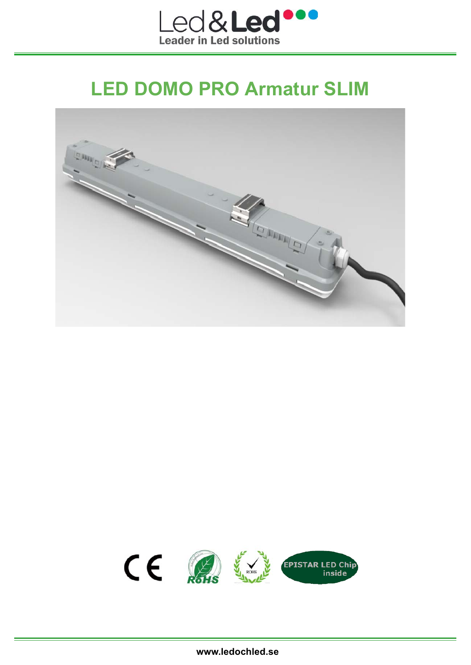

# **LED DOMO PRO Armatur SLIM**



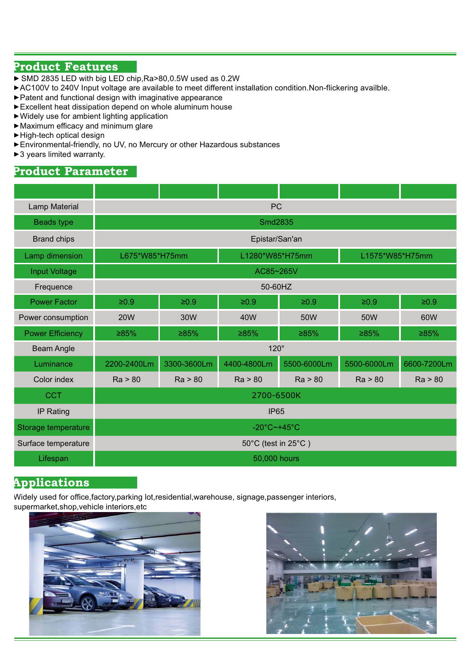#### **Product Features**

- ► SMD 2835 LED with big LED chip, Ra>80,0.5W used as 0.2W
- ►AC100V to 240V Input voltage are available to meet different installation condition.Non-flickering availble.
- ►Patent and functional design with imaginative appearance
- ►Excellent heat dissipation depend on whole aluminum house
- ►Widely use for ambient lighting application
- $\blacktriangleright$  Maximum efficacy and minimum glare
- ►High-tech optical design
- ►Environmental-friendly, no UV, no Mercury or other Hazardous substances
- ►3 years limited warranty.

## **Product Parameter**

| Lamp Material           | <b>PC</b>                         |             |             |                 |             |             |
|-------------------------|-----------------------------------|-------------|-------------|-----------------|-------------|-------------|
| <b>Beads type</b>       | Smd2835                           |             |             |                 |             |             |
| <b>Brand chips</b>      | Epistar/San'an                    |             |             |                 |             |             |
| Lamp dimension          | L1280*W85*H75mm<br>L675*W85*H75mm |             |             | L1575*W85*H75mm |             |             |
| <b>Input Voltage</b>    | AC85~265V                         |             |             |                 |             |             |
| Frequence               | 50-60HZ                           |             |             |                 |             |             |
| <b>Power Factor</b>     | $≥0.9$                            | $≥0.9$      | $\geq 0.9$  | $≥0.9$          | $≥0.9$      | $≥0.9$      |
| Power consumption       | <b>20W</b>                        | 30W         | 40W         | 50W             | 50W         | 60W         |
| <b>Power Efficiency</b> | ≥85%                              | ≥85%        | ≥85%        | ≥85%            | ≥85%        | ≥85%        |
| <b>Beam Angle</b>       | $120^\circ$                       |             |             |                 |             |             |
| Luminance               | 2200-2400Lm                       | 3300-3600Lm | 4400-4800Lm | 5500-6000Lm     | 5500-6000Lm | 6600-7200Lm |
| Color index             | Ra > 80                           | Ra > 80     | Ra > 80     | Ra > 80         | Ra > 80     | Ra > 80     |
| <b>CCT</b>              | 2700-6500K                        |             |             |                 |             |             |
| IP Rating               | <b>IP65</b>                       |             |             |                 |             |             |
| Storage temperature     | $-20^{\circ}$ C $-+45^{\circ}$ C  |             |             |                 |             |             |
| Surface temperature     | 50°C (test in 25°C)               |             |             |                 |             |             |
| Lifespan                | 50,000 hours                      |             |             |                 |             |             |

## **Applications**

Widely used for office, factory, parking lot, residential, warehouse, signage, passenger interiors, supermarket,shop,vehicle interiors,etc



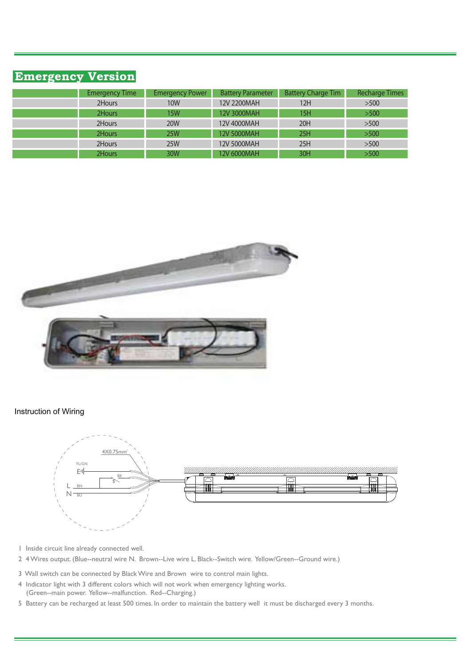# **Emergency Version**

| <b>Emergency Time</b> | <b>Emergency Power</b> | <b>Battery Parameter</b> | <b>Battery Charge Tim</b> | <b>Recharge Times</b> |
|-----------------------|------------------------|--------------------------|---------------------------|-----------------------|
| 2Hours                | <b>10W</b>             | 12V 2200MAH              | 12H                       | >500                  |
| 2Hours                | <b>15W</b>             | 12V 3000MAH              | 15H                       | >500                  |
| 2Hours                | <b>20W</b>             | 12V 4000MAH              | 20H                       | >500                  |
| 2Hours                | <b>25W</b>             | 12V 5000MAH              | 25H                       | >500                  |
| 2Hours                | 25W                    | 12V 5000MAH              | 25H                       | >500                  |
| 2Hours                | 30W                    | 12V 6000MAH              | 30H                       | >500                  |
|                       |                        |                          |                           |                       |



#### Instruction of Wiring



- 1 Inside circuit line already connected well.
- 2 4 Wires output. (Blue--neutral wire N. Brown--Live wire L. Black--Switch wire. Yellow/Green--Ground wire.)
- 3 Wall switch can be connected by Black Wire and Brown wire to control main lights.
- 4 Indicator light with 3 different colors which will not work when emergency lighting works. (Green--main power. Yellow--malfunction. Red--Charging.)
- 5 Battery can be recharged at least 500 times. In order to maintain the battery well it must be discharged every 3 months.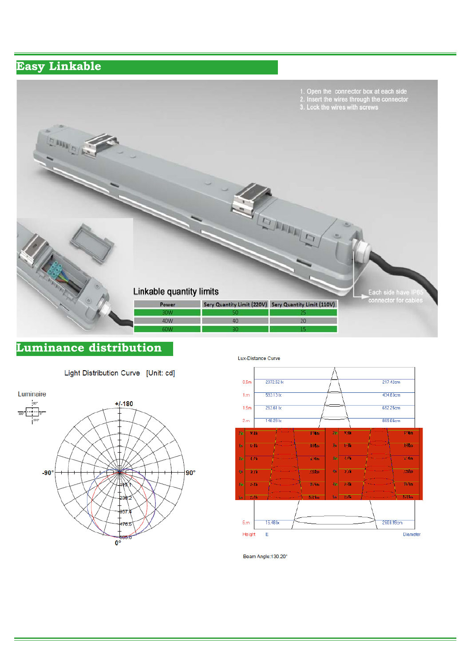### **Easy Linkable**



## **Luminance distribution**







Beam Angle:130.20°